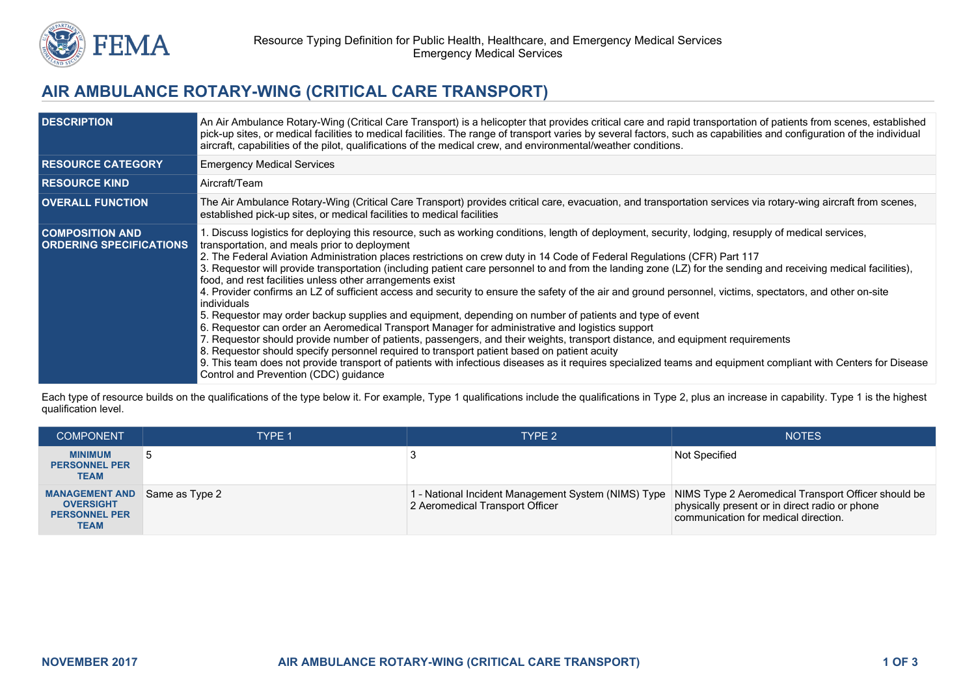

## **AIR AMBULANCE ROTARY-WING (CRITICAL CARE TRANSPORT)**

| <b>DESCRIPTION</b>                                       | An Air Ambulance Rotary-Wing (Critical Care Transport) is a helicopter that provides critical care and rapid transportation of patients from scenes, established<br>pick-up sites, or medical facilities to medical facilities. The range of transport varies by several factors, such as capabilities and configuration of the individual<br>aircraft, capabilities of the pilot, qualifications of the medical crew, and environmental/weather conditions.                                                                                                                                                                                                                                                                                                                                                                                                                                                                                                                                                                                                                                                                                                                                                                                                                                                                                                                                            |
|----------------------------------------------------------|---------------------------------------------------------------------------------------------------------------------------------------------------------------------------------------------------------------------------------------------------------------------------------------------------------------------------------------------------------------------------------------------------------------------------------------------------------------------------------------------------------------------------------------------------------------------------------------------------------------------------------------------------------------------------------------------------------------------------------------------------------------------------------------------------------------------------------------------------------------------------------------------------------------------------------------------------------------------------------------------------------------------------------------------------------------------------------------------------------------------------------------------------------------------------------------------------------------------------------------------------------------------------------------------------------------------------------------------------------------------------------------------------------|
| <b>RESOURCE CATEGORY</b>                                 | <b>Emergency Medical Services</b>                                                                                                                                                                                                                                                                                                                                                                                                                                                                                                                                                                                                                                                                                                                                                                                                                                                                                                                                                                                                                                                                                                                                                                                                                                                                                                                                                                       |
| <b>RESOURCE KIND</b>                                     | Aircraft/Team                                                                                                                                                                                                                                                                                                                                                                                                                                                                                                                                                                                                                                                                                                                                                                                                                                                                                                                                                                                                                                                                                                                                                                                                                                                                                                                                                                                           |
| <b>OVERALL FUNCTION</b>                                  | The Air Ambulance Rotary-Wing (Critical Care Transport) provides critical care, evacuation, and transportation services via rotary-wing aircraft from scenes,<br>established pick-up sites, or medical facilities to medical facilities                                                                                                                                                                                                                                                                                                                                                                                                                                                                                                                                                                                                                                                                                                                                                                                                                                                                                                                                                                                                                                                                                                                                                                 |
| <b>COMPOSITION AND</b><br><b>ORDERING SPECIFICATIONS</b> | 1. Discuss logistics for deploying this resource, such as working conditions, length of deployment, security, lodging, resupply of medical services,<br>transportation, and meals prior to deployment<br>2. The Federal Aviation Administration places restrictions on crew duty in 14 Code of Federal Regulations (CFR) Part 117<br>3. Requestor will provide transportation (including patient care personnel to and from the landing zone (LZ) for the sending and receiving medical facilities),<br>food, and rest facilities unless other arrangements exist<br>4. Provider confirms an LZ of sufficient access and security to ensure the safety of the air and ground personnel, victims, spectators, and other on-site<br>individuals<br>5. Requestor may order backup supplies and equipment, depending on number of patients and type of event<br>6. Requestor can order an Aeromedical Transport Manager for administrative and logistics support<br>7. Requestor should provide number of patients, passengers, and their weights, transport distance, and equipment requirements<br>8. Requestor should specify personnel required to transport patient based on patient acuity<br>9. This team does not provide transport of patients with infectious diseases as it requires specialized teams and equipment compliant with Centers for Disease<br>Control and Prevention (CDC) guidance |

Each type of resource builds on the qualifications of the type below it. For example, Type 1 qualifications include the qualifications in Type 2, plus an increase in capability. Type 1 is the highest qualification level.

| <b>COMPONENT</b>                                                                 | <b>TYPE 1</b>  | TYPE 2                                                                                                                                       | <b>NOTES</b>                                                                           |
|----------------------------------------------------------------------------------|----------------|----------------------------------------------------------------------------------------------------------------------------------------------|----------------------------------------------------------------------------------------|
| <b>MINIMUM</b><br><b>PERSONNEL PER</b><br><b>TEAM</b>                            |                |                                                                                                                                              | <b>Not Specified</b>                                                                   |
| <b>MANAGEMENT AND</b><br><b>OVERSIGHT</b><br><b>PERSONNEL PER</b><br><b>TEAM</b> | Same as Type 2 | 1 - National Incident Management System (NIMS) Type   NIMS Type 2 Aeromedical Transport Officer should be<br>2 Aeromedical Transport Officer | physically present or in direct radio or phone<br>communication for medical direction. |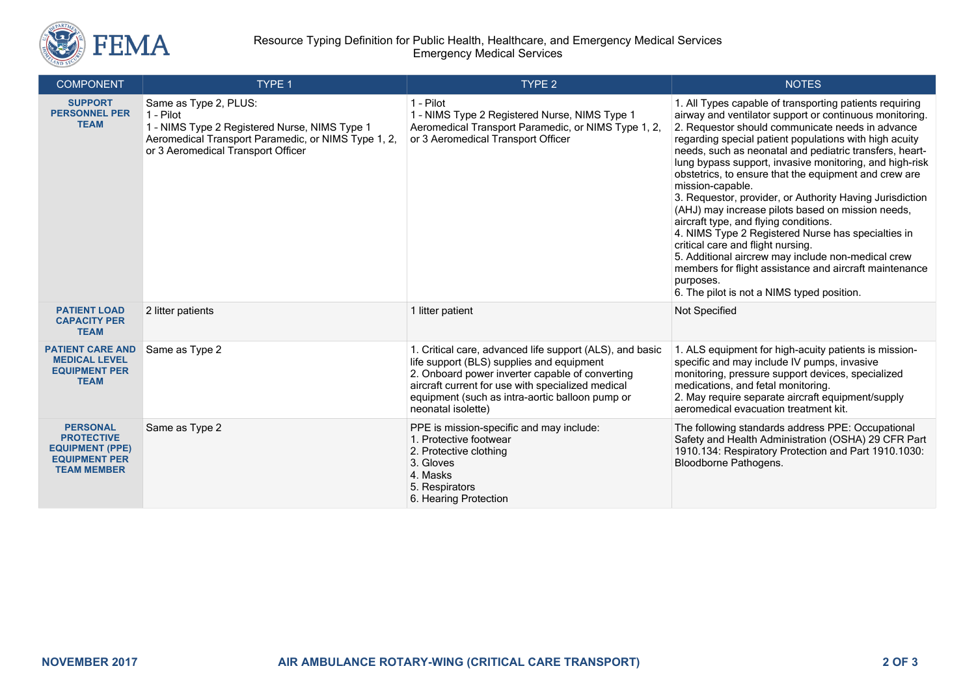

## Resource Typing Definition for Public Health, Healthcare, and Emergency Medical Services Emergency Medical Services

| <b>COMPONENT</b>                                                                                             | TYPE 1                                                                                                                                                                           | TYPE <sub>2</sub>                                                                                                                                                                                                                                                                      | <b>NOTES</b>                                                                                                                                                                                                                                                                                                                                                                                                                                                                                                                                                                                                                                                                                                                                                                                                                                                        |
|--------------------------------------------------------------------------------------------------------------|----------------------------------------------------------------------------------------------------------------------------------------------------------------------------------|----------------------------------------------------------------------------------------------------------------------------------------------------------------------------------------------------------------------------------------------------------------------------------------|---------------------------------------------------------------------------------------------------------------------------------------------------------------------------------------------------------------------------------------------------------------------------------------------------------------------------------------------------------------------------------------------------------------------------------------------------------------------------------------------------------------------------------------------------------------------------------------------------------------------------------------------------------------------------------------------------------------------------------------------------------------------------------------------------------------------------------------------------------------------|
| <b>SUPPORT</b><br><b>PERSONNEL PER</b><br><b>TEAM</b>                                                        | Same as Type 2, PLUS:<br>1 - Pilot<br>1 - NIMS Type 2 Registered Nurse, NIMS Type 1<br>Aeromedical Transport Paramedic, or NIMS Type 1, 2,<br>or 3 Aeromedical Transport Officer | 1 - Pilot<br>1 - NIMS Type 2 Registered Nurse, NIMS Type 1<br>Aeromedical Transport Paramedic, or NIMS Type 1, 2,<br>or 3 Aeromedical Transport Officer                                                                                                                                | 1. All Types capable of transporting patients requiring<br>airway and ventilator support or continuous monitoring.<br>2. Requestor should communicate needs in advance<br>regarding special patient populations with high acuity<br>needs, such as neonatal and pediatric transfers, heart-<br>lung bypass support, invasive monitoring, and high-risk<br>obstetrics, to ensure that the equipment and crew are<br>mission-capable.<br>3. Requestor, provider, or Authority Having Jurisdiction<br>(AHJ) may increase pilots based on mission needs,<br>aircraft type, and flying conditions.<br>4. NIMS Type 2 Registered Nurse has specialties in<br>critical care and flight nursing.<br>5. Additional aircrew may include non-medical crew<br>members for flight assistance and aircraft maintenance<br>purposes.<br>6. The pilot is not a NIMS typed position. |
| <b>PATIENT LOAD</b><br><b>CAPACITY PER</b><br><b>TEAM</b>                                                    | 2 litter patients                                                                                                                                                                | 1 litter patient                                                                                                                                                                                                                                                                       | Not Specified                                                                                                                                                                                                                                                                                                                                                                                                                                                                                                                                                                                                                                                                                                                                                                                                                                                       |
| <b>PATIENT CARE AND</b><br><b>MEDICAL LEVEL</b><br><b>EQUIPMENT PER</b><br><b>TEAM</b>                       | Same as Type 2                                                                                                                                                                   | 1. Critical care, advanced life support (ALS), and basic<br>life support (BLS) supplies and equipment<br>2. Onboard power inverter capable of converting<br>aircraft current for use with specialized medical<br>equipment (such as intra-aortic balloon pump or<br>neonatal isolette) | 1. ALS equipment for high-acuity patients is mission-<br>specific and may include IV pumps, invasive<br>monitoring, pressure support devices, specialized<br>medications, and fetal monitoring.<br>2. May require separate aircraft equipment/supply<br>aeromedical evacuation treatment kit.                                                                                                                                                                                                                                                                                                                                                                                                                                                                                                                                                                       |
| <b>PERSONAL</b><br><b>PROTECTIVE</b><br><b>EQUIPMENT (PPE)</b><br><b>EQUIPMENT PER</b><br><b>TEAM MEMBER</b> | Same as Type 2                                                                                                                                                                   | PPE is mission-specific and may include:<br>1. Protective footwear<br>2. Protective clothing<br>3. Gloves<br>4. Masks<br>5. Respirators<br>6. Hearing Protection                                                                                                                       | The following standards address PPE: Occupational<br>Safety and Health Administration (OSHA) 29 CFR Part<br>1910.134: Respiratory Protection and Part 1910.1030:<br>Bloodborne Pathogens.                                                                                                                                                                                                                                                                                                                                                                                                                                                                                                                                                                                                                                                                           |